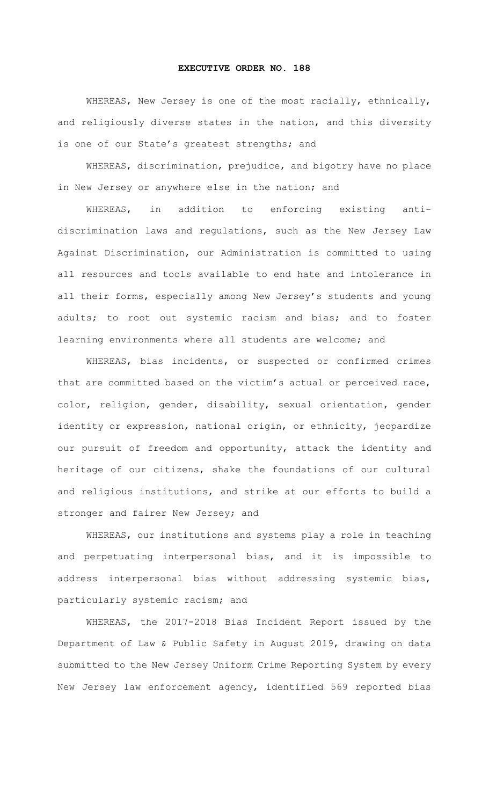## **EXECUTIVE ORDER NO. 188**

WHEREAS, New Jersey is one of the most racially, ethnically, and religiously diverse states in the nation, and this diversity is one of our State's greatest strengths; and

WHEREAS, discrimination, prejudice, and bigotry have no place in New Jersey or anywhere else in the nation; and

WHEREAS, in addition to enforcing existing antidiscrimination laws and regulations, such as the New Jersey Law Against Discrimination, our Administration is committed to using all resources and tools available to end hate and intolerance in all their forms, especially among New Jersey's students and young adults; to root out systemic racism and bias; and to foster learning environments where all students are welcome; and

WHEREAS, bias incidents, or suspected or confirmed crimes that are committed based on the victim's actual or perceived race, color, religion, gender, disability, sexual orientation, gender identity or expression, national origin, or ethnicity, jeopardize our pursuit of freedom and opportunity, attack the identity and heritage of our citizens, shake the foundations of our cultural and religious institutions, and strike at our efforts to build a stronger and fairer New Jersey; and

WHEREAS, our institutions and systems play a role in teaching and perpetuating interpersonal bias, and it is impossible to address interpersonal bias without addressing systemic bias, particularly systemic racism; and

WHEREAS, the 2017-2018 Bias Incident Report issued by the Department of Law & Public Safety in August 2019, drawing on data submitted to the New Jersey Uniform Crime Reporting System by every New Jersey law enforcement agency, identified 569 reported bias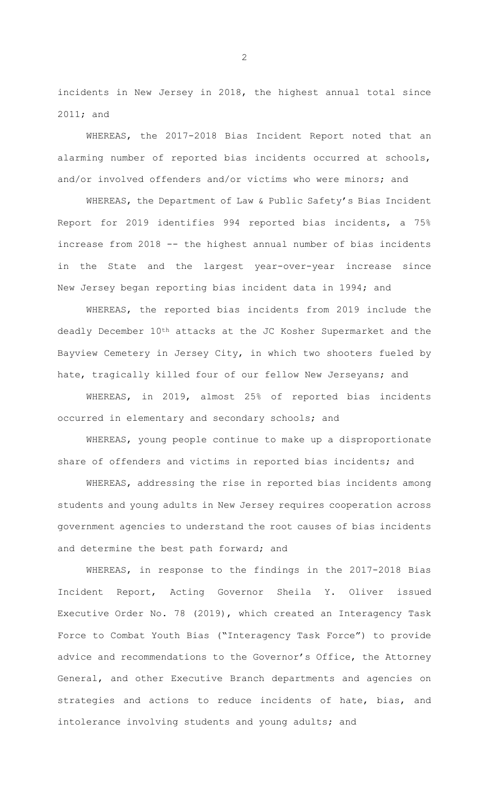incidents in New Jersey in 2018, the highest annual total since 2011; and

WHEREAS, the 2017-2018 Bias Incident Report noted that an alarming number of reported bias incidents occurred at schools, and/or involved offenders and/or victims who were minors; and

WHEREAS, the Department of Law & Public Safety's Bias Incident Report for 2019 identifies 994 reported bias incidents, a 75% increase from 2018 -- the highest annual number of bias incidents in the State and the largest year-over-year increase since New Jersey began reporting bias incident data in 1994; and

WHEREAS, the reported bias incidents from 2019 include the deadly December  $10^{th}$  attacks at the JC Kosher Supermarket and the Bayview Cemetery in Jersey City, in which two shooters fueled by hate, tragically killed four of our fellow New Jerseyans; and

WHEREAS, in 2019, almost 25% of reported bias incidents occurred in elementary and secondary schools; and

WHEREAS, young people continue to make up a disproportionate share of offenders and victims in reported bias incidents; and

WHEREAS, addressing the rise in reported bias incidents among students and young adults in New Jersey requires cooperation across government agencies to understand the root causes of bias incidents and determine the best path forward; and

WHEREAS, in response to the findings in the 2017-2018 Bias Incident Report, Acting Governor Sheila Y. Oliver issued Executive Order No. 78 (2019), which created an Interagency Task Force to Combat Youth Bias ("Interagency Task Force") to provide advice and recommendations to the Governor's Office, the Attorney General, and other Executive Branch departments and agencies on strategies and actions to reduce incidents of hate, bias, and intolerance involving students and young adults; and

2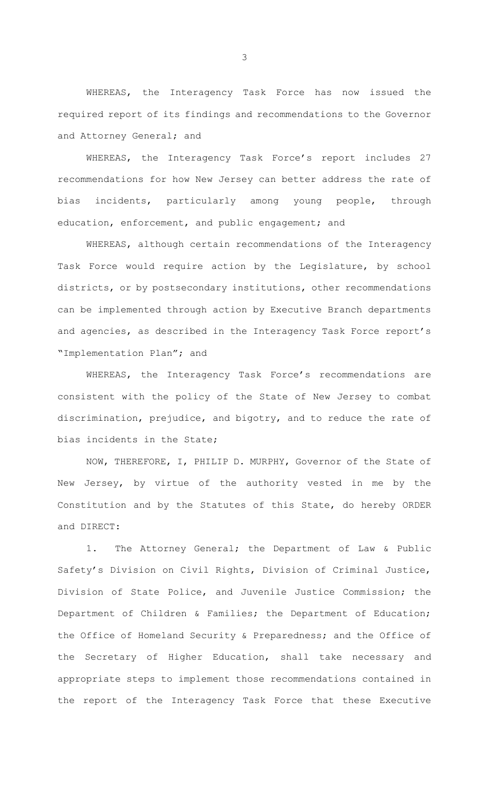WHEREAS, the Interagency Task Force has now issued the required report of its findings and recommendations to the Governor and Attorney General; and

WHEREAS, the Interagency Task Force's report includes 27 recommendations for how New Jersey can better address the rate of bias incidents, particularly among young people, through education, enforcement, and public engagement; and

WHEREAS, although certain recommendations of the Interagency Task Force would require action by the Legislature, by school districts, or by postsecondary institutions, other recommendations can be implemented through action by Executive Branch departments and agencies, as described in the Interagency Task Force report's "Implementation Plan"; and

WHEREAS, the Interagency Task Force's recommendations are consistent with the policy of the State of New Jersey to combat discrimination, prejudice, and bigotry, and to reduce the rate of bias incidents in the State;

NOW, THEREFORE, I, PHILIP D. MURPHY, Governor of the State of New Jersey, by virtue of the authority vested in me by the Constitution and by the Statutes of this State, do hereby ORDER and DIRECT:

1. The Attorney General; the Department of Law & Public Safety's Division on Civil Rights, Division of Criminal Justice, Division of State Police, and Juvenile Justice Commission; the Department of Children & Families; the Department of Education; the Office of Homeland Security & Preparedness; and the Office of the Secretary of Higher Education, shall take necessary and appropriate steps to implement those recommendations contained in the report of the Interagency Task Force that these Executive

3